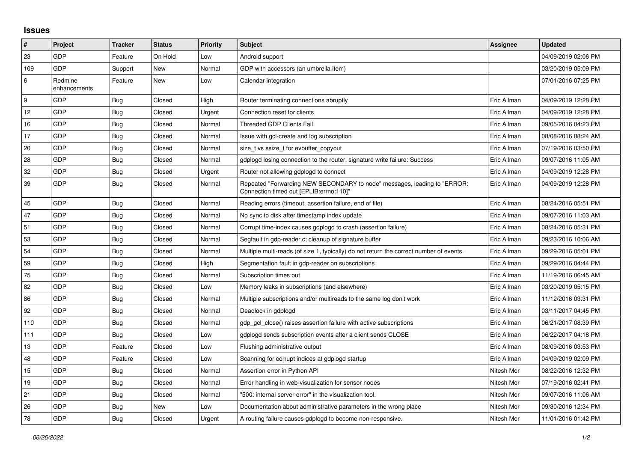## **Issues**

| #   | Project                 | <b>Tracker</b> | <b>Status</b> | <b>Priority</b> | <b>Subject</b>                                                                                                      | Assignee    | <b>Updated</b>      |
|-----|-------------------------|----------------|---------------|-----------------|---------------------------------------------------------------------------------------------------------------------|-------------|---------------------|
| 23  | <b>GDP</b>              | Feature        | On Hold       | Low             | Android support                                                                                                     |             | 04/09/2019 02:06 PM |
| 109 | <b>GDP</b>              | Support        | <b>New</b>    | Normal          | GDP with accessors (an umbrella item)                                                                               |             | 03/20/2019 05:09 PM |
| 6   | Redmine<br>enhancements | Feature        | New           | Low             | Calendar integration                                                                                                |             | 07/01/2016 07:25 PM |
| 9   | GDP                     | Bug            | Closed        | High            | Router terminating connections abruptly                                                                             | Eric Allman | 04/09/2019 12:28 PM |
| 12  | <b>GDP</b>              | Bug            | Closed        | Urgent          | Connection reset for clients                                                                                        | Eric Allman | 04/09/2019 12:28 PM |
| 16  | <b>GDP</b>              | Bug            | Closed        | Normal          | <b>Threaded GDP Clients Fail</b>                                                                                    | Eric Allman | 09/05/2016 04:23 PM |
| 17  | GDP                     | <b>Bug</b>     | Closed        | Normal          | Issue with gcl-create and log subscription                                                                          | Eric Allman | 08/08/2016 08:24 AM |
| 20  | <b>GDP</b>              | Bug            | Closed        | Normal          | size t vs ssize t for evbuffer copyout                                                                              | Eric Allman | 07/19/2016 03:50 PM |
| 28  | GDP                     | <b>Bug</b>     | Closed        | Normal          | gdplogd losing connection to the router, signature write failure: Success                                           | Eric Allman | 09/07/2016 11:05 AM |
| 32  | GDP                     | <b>Bug</b>     | Closed        | Urgent          | Router not allowing gdplogd to connect                                                                              | Eric Allman | 04/09/2019 12:28 PM |
| 39  | <b>GDP</b>              | Bug            | Closed        | Normal          | Repeated "Forwarding NEW SECONDARY to node" messages, leading to "ERROR:<br>Connection timed out [EPLIB:errno:110]" | Eric Allman | 04/09/2019 12:28 PM |
| 45  | <b>GDP</b>              | <b>Bug</b>     | Closed        | Normal          | Reading errors (timeout, assertion failure, end of file)                                                            | Eric Allman | 08/24/2016 05:51 PM |
| 47  | <b>GDP</b>              | <b>Bug</b>     | Closed        | Normal          | No sync to disk after timestamp index update                                                                        | Eric Allman | 09/07/2016 11:03 AM |
| 51  | <b>GDP</b>              | Bug            | Closed        | Normal          | Corrupt time-index causes gdplogd to crash (assertion failure)                                                      | Eric Allman | 08/24/2016 05:31 PM |
| 53  | <b>GDP</b>              | <b>Bug</b>     | Closed        | Normal          | Segfault in gdp-reader.c; cleanup of signature buffer                                                               | Eric Allman | 09/23/2016 10:06 AM |
| 54  | <b>GDP</b>              | Bug            | Closed        | Normal          | Multiple multi-reads (of size 1, typically) do not return the correct number of events.                             | Eric Allman | 09/29/2016 05:01 PM |
| 59  | <b>GDP</b>              | <b>Bug</b>     | Closed        | High            | Segmentation fault in gdp-reader on subscriptions                                                                   | Eric Allman | 09/29/2016 04:44 PM |
| 75  | <b>GDP</b>              | Bug            | Closed        | Normal          | Subscription times out                                                                                              | Eric Allman | 11/19/2016 06:45 AM |
| 82  | <b>GDP</b>              | Bug            | Closed        | Low             | Memory leaks in subscriptions (and elsewhere)                                                                       | Eric Allman | 03/20/2019 05:15 PM |
| 86  | GDP                     | <b>Bug</b>     | Closed        | Normal          | Multiple subscriptions and/or multireads to the same log don't work                                                 | Eric Allman | 11/12/2016 03:31 PM |
| 92  | <b>GDP</b>              | Bug            | Closed        | Normal          | Deadlock in gdplogd                                                                                                 | Eric Allman | 03/11/2017 04:45 PM |
| 110 | <b>GDP</b>              | <b>Bug</b>     | Closed        | Normal          | gdp gcl close() raises assertion failure with active subscriptions                                                  | Eric Allman | 06/21/2017 08:39 PM |
| 111 | GDP                     | <b>Bug</b>     | Closed        | Low             | gdplogd sends subscription events after a client sends CLOSE                                                        | Eric Allman | 06/22/2017 04:18 PM |
| 13  | GDP                     | Feature        | Closed        | Low             | Flushing administrative output                                                                                      | Eric Allman | 08/09/2016 03:53 PM |
| 48  | <b>GDP</b>              | Feature        | Closed        | Low             | Scanning for corrupt indices at gdplogd startup                                                                     | Eric Allman | 04/09/2019 02:09 PM |
| 15  | GDP                     | <b>Bug</b>     | Closed        | Normal          | Assertion error in Python API                                                                                       | Nitesh Mor  | 08/22/2016 12:32 PM |
| 19  | <b>GDP</b>              | <b>Bug</b>     | Closed        | Normal          | Error handling in web-visualization for sensor nodes                                                                | Nitesh Mor  | 07/19/2016 02:41 PM |
| 21  | <b>GDP</b>              | <b>Bug</b>     | Closed        | Normal          | "500: internal server error" in the visualization tool.                                                             | Nitesh Mor  | 09/07/2016 11:06 AM |
| 26  | <b>GDP</b>              | Bug            | New           | Low             | Documentation about administrative parameters in the wrong place                                                    | Nitesh Mor  | 09/30/2016 12:34 PM |
| 78  | GDP                     | <b>Bug</b>     | Closed        | Urgent          | A routing failure causes gdplogd to become non-responsive.                                                          | Nitesh Mor  | 11/01/2016 01:42 PM |